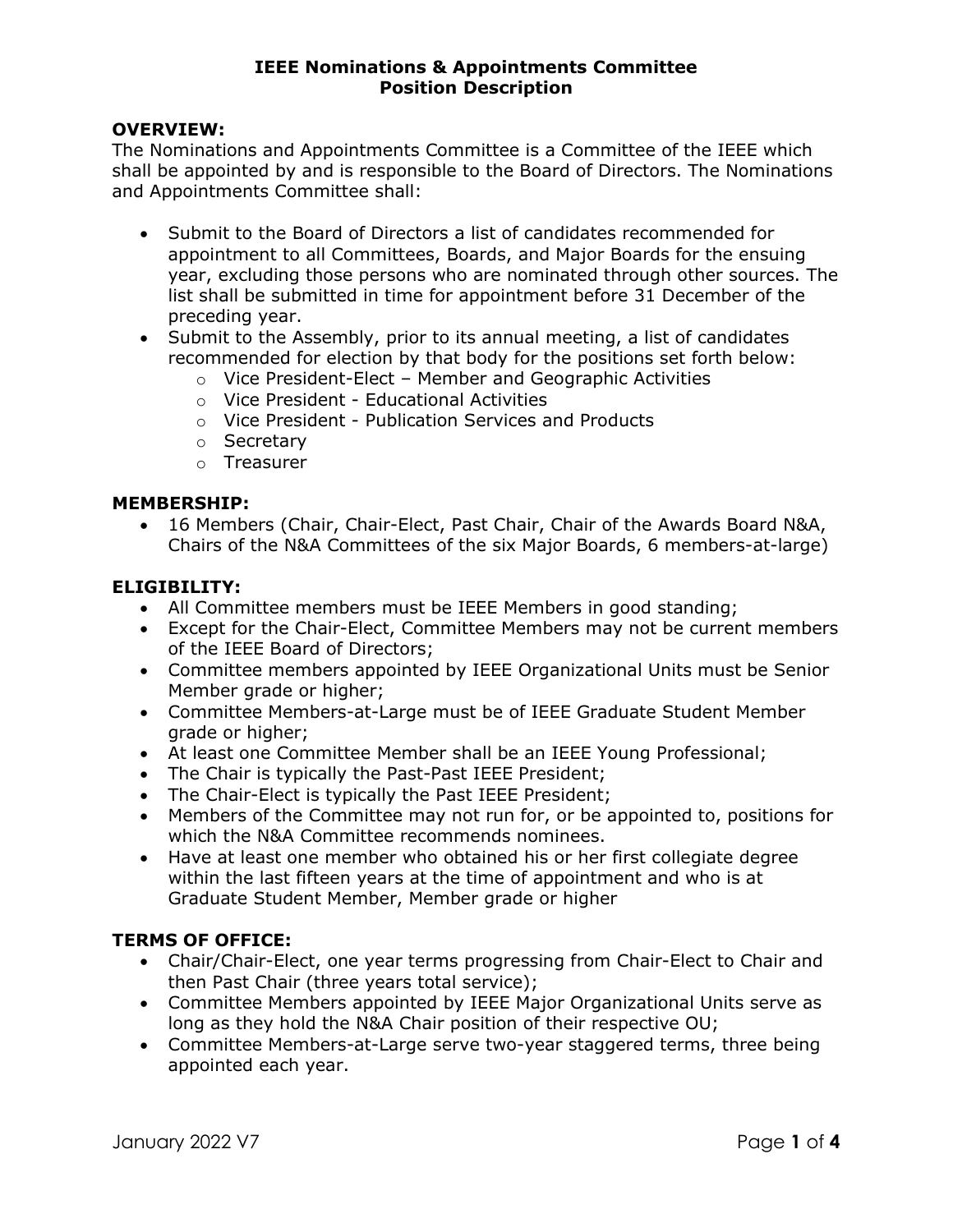#### IEEE Nominations & Appointments Committee Position Description

### OVERVIEW:

The Nominations and Appointments Committee is a Committee of the IEEE which shall be appointed by and is responsible to the Board of Directors. The Nominations and Appointments Committee shall:

- Submit to the Board of Directors a list of candidates recommended for appointment to all Committees, Boards, and Major Boards for the ensuing year, excluding those persons who are nominated through other sources. The list shall be submitted in time for appointment before 31 December of the preceding year.
- Submit to the Assembly, prior to its annual meeting, a list of candidates recommended for election by that body for the positions set forth below:
	- o Vice President-Elect Member and Geographic Activities
	- o Vice President Educational Activities
	- o Vice President Publication Services and Products
	- o Secretary
	- o Treasurer

#### MEMBERSHIP:

 16 Members (Chair, Chair-Elect, Past Chair, Chair of the Awards Board N&A, Chairs of the N&A Committees of the six Major Boards, 6 members-at-large)

### ELIGIBILITY:

- All Committee members must be IEEE Members in good standing;
- Except for the Chair-Elect, Committee Members may not be current members of the IEEE Board of Directors;
- Committee members appointed by IEEE Organizational Units must be Senior Member grade or higher;
- Committee Members-at-Large must be of IEEE Graduate Student Member grade or higher;
- At least one Committee Member shall be an IEEE Young Professional;
- The Chair is typically the Past-Past IEEE President;
- The Chair-Elect is typically the Past IEEE President;
- Members of the Committee may not run for, or be appointed to, positions for which the N&A Committee recommends nominees.
- Have at least one member who obtained his or her first collegiate degree within the last fifteen years at the time of appointment and who is at Graduate Student Member, Member grade or higher

## TERMS OF OFFICE:

- Chair/Chair-Elect, one year terms progressing from Chair-Elect to Chair and then Past Chair (three years total service);
- Committee Members appointed by IEEE Major Organizational Units serve as long as they hold the N&A Chair position of their respective OU;
- Committee Members-at-Large serve two-year staggered terms, three being appointed each year.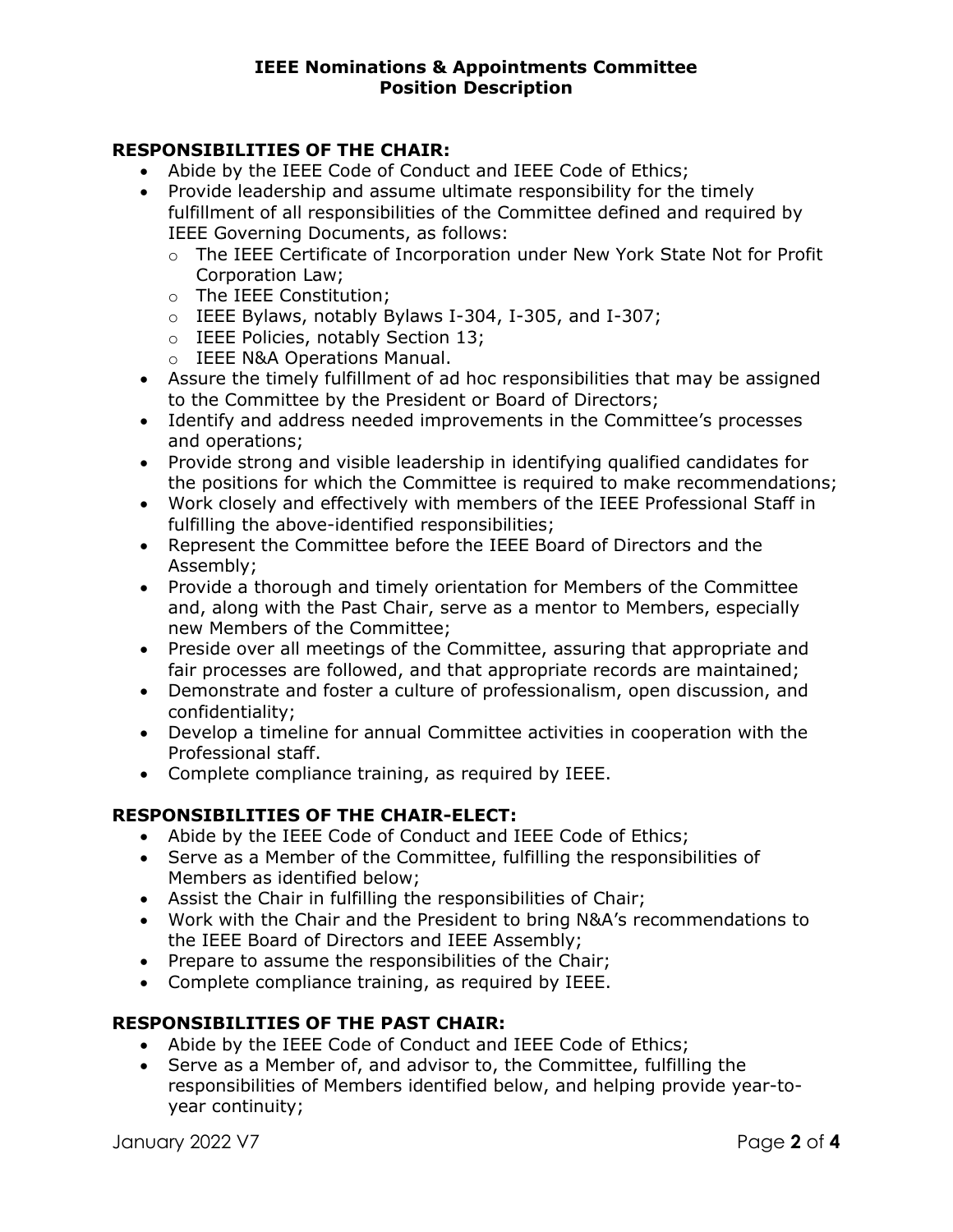# RESPONSIBILITIES OF THE CHAIR:

- Abide by the IEEE Code of Conduct and IEEE Code of Ethics;
- Provide leadership and assume ultimate responsibility for the timely fulfillment of all responsibilities of the Committee defined and required by IEEE Governing Documents, as follows:
	- o The IEEE Certificate of Incorporation under New York State Not for Profit Corporation Law;
	- o The IEEE Constitution;
	- o IEEE Bylaws, notably Bylaws I-304, I-305, and I-307;
	- o IEEE Policies, notably Section 13;
	- o IEEE N&A Operations Manual.
- Assure the timely fulfillment of ad hoc responsibilities that may be assigned to the Committee by the President or Board of Directors;
- Identify and address needed improvements in the Committee's processes and operations;
- Provide strong and visible leadership in identifying qualified candidates for the positions for which the Committee is required to make recommendations;
- Work closely and effectively with members of the IEEE Professional Staff in fulfilling the above-identified responsibilities;
- Represent the Committee before the IEEE Board of Directors and the Assembly;
- Provide a thorough and timely orientation for Members of the Committee and, along with the Past Chair, serve as a mentor to Members, especially new Members of the Committee;
- Preside over all meetings of the Committee, assuring that appropriate and fair processes are followed, and that appropriate records are maintained;
- Demonstrate and foster a culture of professionalism, open discussion, and confidentiality;
- Develop a timeline for annual Committee activities in cooperation with the Professional staff.
- Complete compliance training, as required by IEEE.

# RESPONSIBILITIES OF THE CHAIR-ELECT:

- Abide by the IEEE Code of Conduct and IEEE Code of Ethics;
- Serve as a Member of the Committee, fulfilling the responsibilities of Members as identified below;
- Assist the Chair in fulfilling the responsibilities of Chair;
- Work with the Chair and the President to bring N&A's recommendations to the IEEE Board of Directors and IEEE Assembly;
- Prepare to assume the responsibilities of the Chair;
- Complete compliance training, as required by IEEE.

# RESPONSIBILITIES OF THE PAST CHAIR:

- Abide by the IEEE Code of Conduct and IEEE Code of Ethics;
- Serve as a Member of, and advisor to, the Committee, fulfilling the responsibilities of Members identified below, and helping provide year-toyear continuity;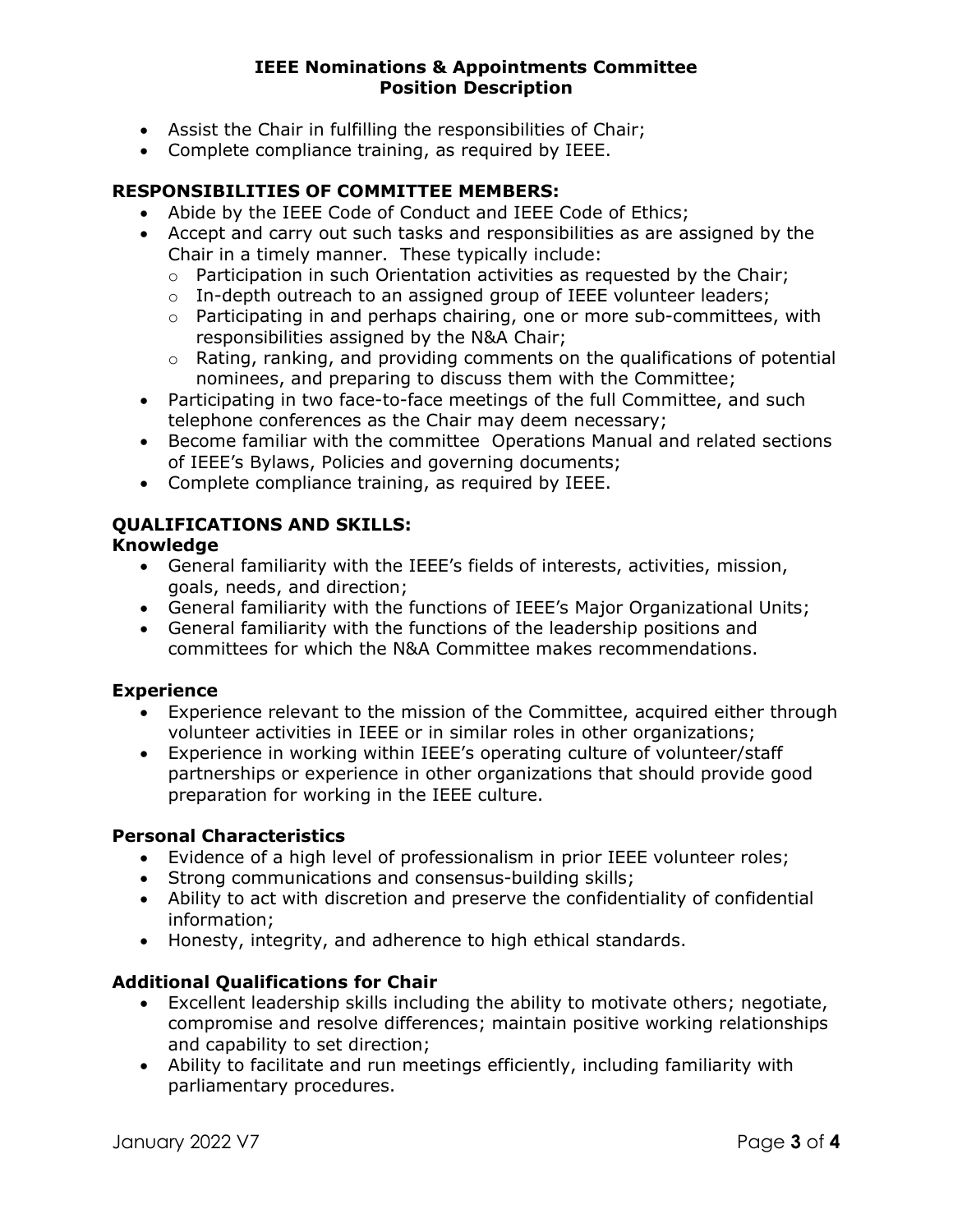#### IEEE Nominations & Appointments Committee Position Description

- Assist the Chair in fulfilling the responsibilities of Chair;
- Complete compliance training, as required by IEEE.

# RESPONSIBILITIES OF COMMITTEE MEMBERS:

- Abide by the IEEE Code of Conduct and IEEE Code of Ethics;
- Accept and carry out such tasks and responsibilities as are assigned by the Chair in a timely manner. These typically include:
	- o Participation in such Orientation activities as requested by the Chair;
	- $\circ$  In-depth outreach to an assigned group of IEEE volunteer leaders;
	- o Participating in and perhaps chairing, one or more sub-committees, with responsibilities assigned by the N&A Chair;
	- o Rating, ranking, and providing comments on the qualifications of potential nominees, and preparing to discuss them with the Committee;
- Participating in two face-to-face meetings of the full Committee, and such telephone conferences as the Chair may deem necessary;
- Become familiar with the committee Operations Manual and related sections of IEEE's Bylaws, Policies and governing documents;
- Complete compliance training, as required by IEEE.

# QUALIFICATIONS AND SKILLS:

### Knowledge

- General familiarity with the IEEE's fields of interests, activities, mission, goals, needs, and direction;
- General familiarity with the functions of IEEE's Major Organizational Units;
- General familiarity with the functions of the leadership positions and committees for which the N&A Committee makes recommendations.

## Experience

- Experience relevant to the mission of the Committee, acquired either through volunteer activities in IEEE or in similar roles in other organizations;
- Experience in working within IEEE's operating culture of volunteer/staff partnerships or experience in other organizations that should provide good preparation for working in the IEEE culture.

## Personal Characteristics

- Evidence of a high level of professionalism in prior IEEE volunteer roles;
- Strong communications and consensus-building skills;
- Ability to act with discretion and preserve the confidentiality of confidential information;
- Honesty, integrity, and adherence to high ethical standards.

## Additional Qualifications for Chair

- Excellent leadership skills including the ability to motivate others; negotiate, compromise and resolve differences; maintain positive working relationships and capability to set direction;
- Ability to facilitate and run meetings efficiently, including familiarity with parliamentary procedures.